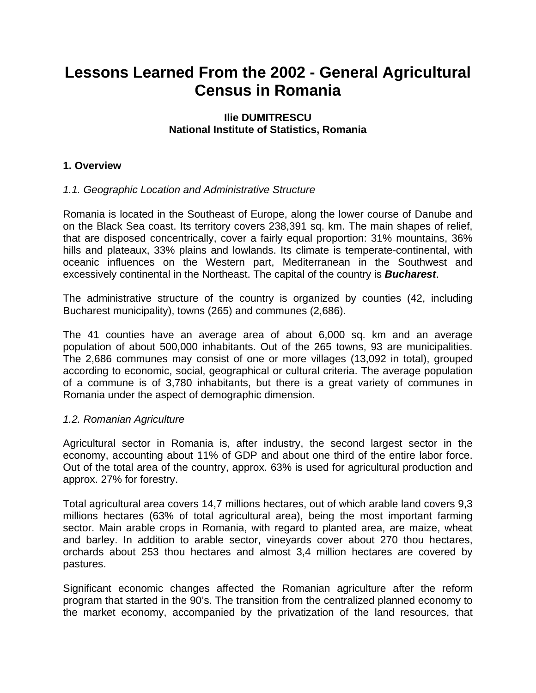# **Lessons Learned From the 2002 - General Agricultural Census in Romania**

#### **Ilie DUMITRESCU National Institute of Statistics, Romania**

## **1. Overview**

### *1.1. Geographic Location and Administrative Structure*

Romania is located in the Southeast of Europe, along the lower course of Danube and on the Black Sea coast. Its territory covers 238,391 sq. km. The main shapes of relief, that are disposed concentrically, cover a fairly equal proportion: 31% mountains, 36% hills and plateaux, 33% plains and lowlands. Its climate is temperate-continental, with oceanic influences on the Western part, Mediterranean in the Southwest and excessively continental in the Northeast. The capital of the country is *Bucharest*.

The administrative structure of the country is organized by counties (42, including Bucharest municipality), towns (265) and communes (2,686).

The 41 counties have an average area of about 6,000 sq. km and an average population of about 500,000 inhabitants. Out of the 265 towns, 93 are municipalities. The 2,686 communes may consist of one or more villages (13,092 in total), grouped according to economic, social, geographical or cultural criteria. The average population of a commune is of 3,780 inhabitants, but there is a great variety of communes in Romania under the aspect of demographic dimension.

#### *1.2. Romanian Agriculture*

Agricultural sector in Romania is, after industry, the second largest sector in the economy, accounting about 11% of GDP and about one third of the entire labor force. Out of the total area of the country, approx. 63% is used for agricultural production and approx. 27% for forestry.

Total agricultural area covers 14,7 millions hectares, out of which arable land covers 9,3 millions hectares (63% of total agricultural area), being the most important farming sector. Main arable crops in Romania, with regard to planted area, are maize, wheat and barley. In addition to arable sector, vineyards cover about 270 thou hectares, orchards about 253 thou hectares and almost 3,4 million hectares are covered by pastures.

Significant economic changes affected the Romanian agriculture after the reform program that started in the 90's. The transition from the centralized planned economy to the market economy, accompanied by the privatization of the land resources, that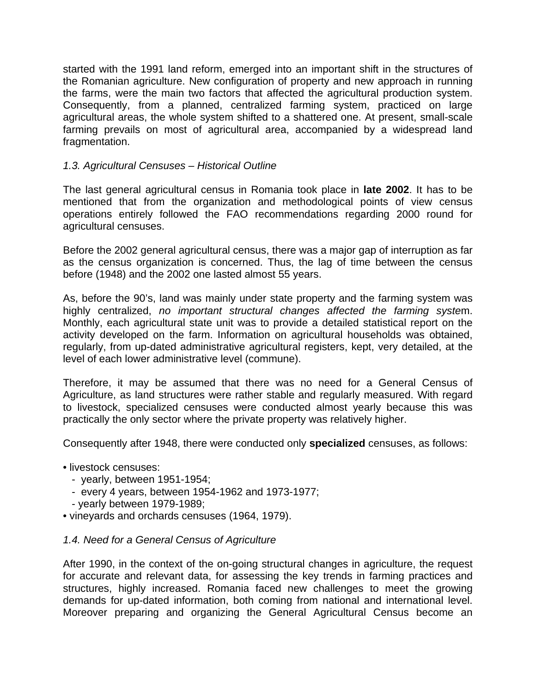started with the 1991 land reform, emerged into an important shift in the structures of the Romanian agriculture. New configuration of property and new approach in running the farms, were the main two factors that affected the agricultural production system. Consequently, from a planned, centralized farming system, practiced on large agricultural areas, the whole system shifted to a shattered one. At present, small-scale farming prevails on most of agricultural area, accompanied by a widespread land fragmentation.

## *1.3. Agricultural Censuses – Historical Outline*

The last general agricultural census in Romania took place in **late 2002**. It has to be mentioned that from the organization and methodological points of view census operations entirely followed the FAO recommendations regarding 2000 round for agricultural censuses.

Before the 2002 general agricultural census, there was a major gap of interruption as far as the census organization is concerned. Thus, the lag of time between the census before (1948) and the 2002 one lasted almost 55 years.

As, before the 90's, land was mainly under state property and the farming system was highly centralized, *no important structural changes affected the farming syste*m. Monthly, each agricultural state unit was to provide a detailed statistical report on the activity developed on the farm. Information on agricultural households was obtained, regularly, from up-dated administrative agricultural registers, kept, very detailed, at the level of each lower administrative level (commune).

Therefore, it may be assumed that there was no need for a General Census of Agriculture, as land structures were rather stable and regularly measured. With regard to livestock, specialized censuses were conducted almost yearly because this was practically the only sector where the private property was relatively higher.

Consequently after 1948, there were conducted only **specialized** censuses, as follows:

- livestock censuses:
	- yearly, between 1951-1954;
	- every 4 years, between 1954-1962 and 1973-1977;
	- yearly between 1979-1989;
- vineyards and orchards censuses (1964, 1979).

### *1.4. Need for a General Census of Agriculture*

After 1990, in the context of the on-going structural changes in agriculture, the request for accurate and relevant data, for assessing the key trends in farming practices and structures, highly increased. Romania faced new challenges to meet the growing demands for up-dated information, both coming from national and international level. Moreover preparing and organizing the General Agricultural Census become an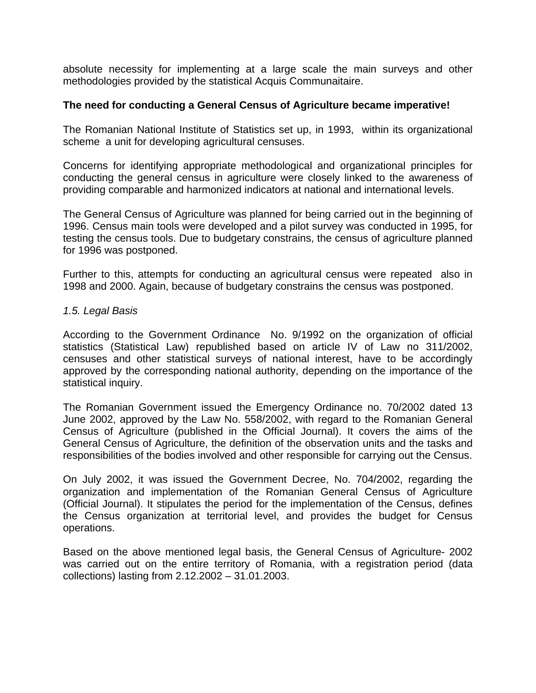absolute necessity for implementing at a large scale the main surveys and other methodologies provided by the statistical Acquis Communaitaire.

#### **The need for conducting a General Census of Agriculture became imperative!**

The Romanian National Institute of Statistics set up, in 1993, within its organizational scheme a unit for developing agricultural censuses.

Concerns for identifying appropriate methodological and organizational principles for conducting the general census in agriculture were closely linked to the awareness of providing comparable and harmonized indicators at national and international levels.

The General Census of Agriculture was planned for being carried out in the beginning of 1996. Census main tools were developed and a pilot survey was conducted in 1995, for testing the census tools. Due to budgetary constrains, the census of agriculture planned for 1996 was postponed.

Further to this, attempts for conducting an agricultural census were repeated also in 1998 and 2000. Again, because of budgetary constrains the census was postponed.

#### *1.5. Legal Basis*

According to the Government Ordinance No. 9/1992 on the organization of official statistics (Statistical Law) republished based on article IV of Law no 311/2002, censuses and other statistical surveys of national interest, have to be accordingly approved by the corresponding national authority, depending on the importance of the statistical inquiry.

The Romanian Government issued the Emergency Ordinance no. 70/2002 dated 13 June 2002, approved by the Law No. 558/2002, with regard to the Romanian General Census of Agriculture (published in the Official Journal). It covers the aims of the General Census of Agriculture, the definition of the observation units and the tasks and responsibilities of the bodies involved and other responsible for carrying out the Census.

On July 2002, it was issued the Government Decree, No. 704/2002, regarding the organization and implementation of the Romanian General Census of Agriculture (Official Journal). It stipulates the period for the implementation of the Census, defines the Census organization at territorial level, and provides the budget for Census operations.

Based on the above mentioned legal basis, the General Census of Agriculture- 2002 was carried out on the entire territory of Romania, with a registration period (data collections) lasting from 2.12.2002 – 31.01.2003.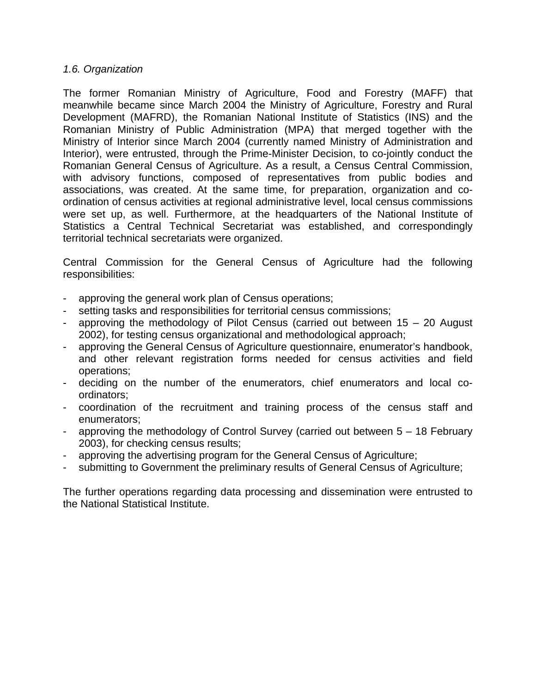#### *1.6. Organization*

The former Romanian Ministry of Agriculture, Food and Forestry (MAFF) that meanwhile became since March 2004 the Ministry of Agriculture, Forestry and Rural Development (MAFRD), the Romanian National Institute of Statistics (INS) and the Romanian Ministry of Public Administration (MPA) that merged together with the Ministry of Interior since March 2004 (currently named Ministry of Administration and Interior), were entrusted, through the Prime-Minister Decision, to co-jointly conduct the Romanian General Census of Agriculture. As a result, a Census Central Commission, with advisory functions, composed of representatives from public bodies and associations, was created. At the same time, for preparation, organization and coordination of census activities at regional administrative level, local census commissions were set up, as well. Furthermore, at the headquarters of the National Institute of Statistics a Central Technical Secretariat was established, and correspondingly territorial technical secretariats were organized.

Central Commission for the General Census of Agriculture had the following responsibilities:

- approving the general work plan of Census operations;
- setting tasks and responsibilities for territorial census commissions;
- approving the methodology of Pilot Census (carried out between  $15 20$  August 2002), for testing census organizational and methodological approach;
- approving the General Census of Agriculture questionnaire, enumerator's handbook, and other relevant registration forms needed for census activities and field operations;
- deciding on the number of the enumerators, chief enumerators and local coordinators;
- coordination of the recruitment and training process of the census staff and enumerators;
- approving the methodology of Control Survey (carried out between 5 18 February 2003), for checking census results;
- approving the advertising program for the General Census of Agriculture;
- submitting to Government the preliminary results of General Census of Agriculture;

The further operations regarding data processing and dissemination were entrusted to the National Statistical Institute.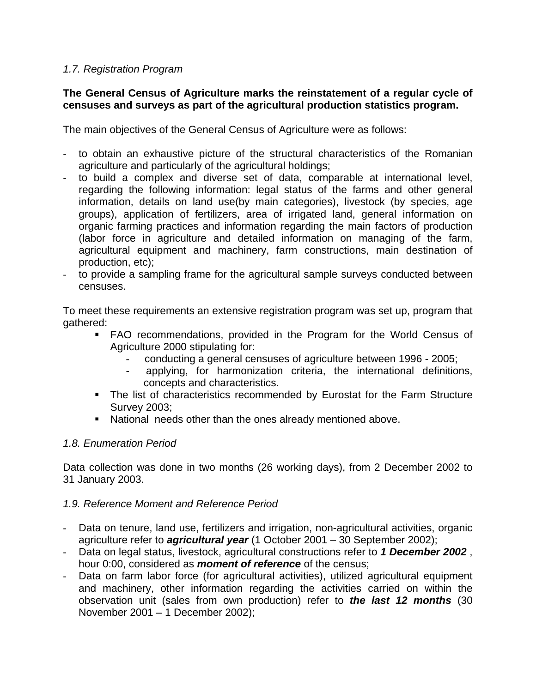## *1.7. Registration Program*

## **The General Census of Agriculture marks the reinstatement of a regular cycle of censuses and surveys as part of the agricultural production statistics program.**

The main objectives of the General Census of Agriculture were as follows:

- to obtain an exhaustive picture of the structural characteristics of the Romanian agriculture and particularly of the agricultural holdings;
- to build a complex and diverse set of data, comparable at international level, regarding the following information: legal status of the farms and other general information, details on land use(by main categories), livestock (by species, age groups), application of fertilizers, area of irrigated land, general information on organic farming practices and information regarding the main factors of production (labor force in agriculture and detailed information on managing of the farm, agricultural equipment and machinery, farm constructions, main destination of production, etc);
- to provide a sampling frame for the agricultural sample surveys conducted between censuses.

To meet these requirements an extensive registration program was set up, program that gathered:

- FAO recommendations, provided in the Program for the World Census of Agriculture 2000 stipulating for:
	- conducting a general censuses of agriculture between 1996 2005;
	- applying, for harmonization criteria, the international definitions, concepts and characteristics.
- The list of characteristics recommended by Eurostat for the Farm Structure Survey 2003;
- National needs other than the ones already mentioned above.

### *1.8. Enumeration Period*

Data collection was done in two months (26 working days), from 2 December 2002 to 31 January 2003.

### *1.9. Reference Moment and Reference Period*

- Data on tenure, land use, fertilizers and irrigation, non-agricultural activities, organic agriculture refer to *agricultural year* (1 October 2001 – 30 September 2002);
- Data on legal status, livestock, agricultural constructions refer to *1 December 2002* , hour 0:00, considered as *moment of reference* of the census;
- Data on farm labor force (for agricultural activities), utilized agricultural equipment and machinery, other information regarding the activities carried on within the observation unit (sales from own production) refer to *the last 12 months* (30 November 2001 – 1 December 2002);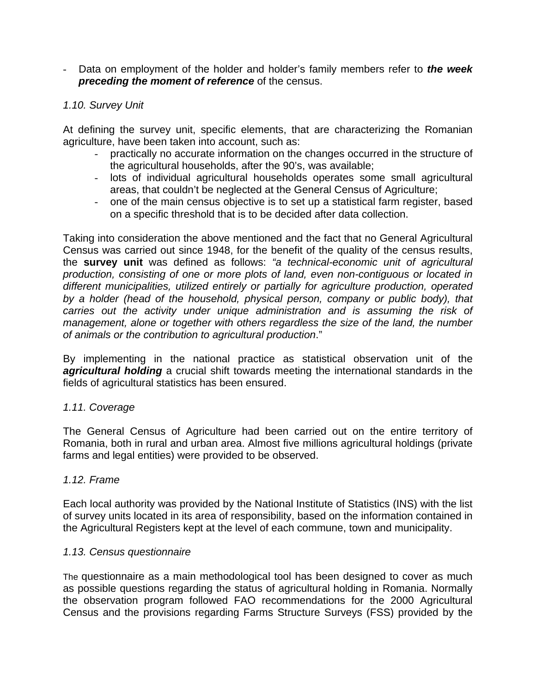- Data on employment of the holder and holder's family members refer to *the week preceding the moment of reference* of the census.

## *1.10. Survey Unit*

At defining the survey unit, specific elements, that are characterizing the Romanian agriculture, have been taken into account, such as:

- practically no accurate information on the changes occurred in the structure of the agricultural households, after the 90's, was available;
- lots of individual agricultural households operates some small agricultural areas, that couldn't be neglected at the General Census of Agriculture;
- one of the main census objective is to set up a statistical farm register, based on a specific threshold that is to be decided after data collection.

Taking into consideration the above mentioned and the fact that no General Agricultural Census was carried out since 1948, for the benefit of the quality of the census results, the **survey unit** was defined as follows: *"a technical-economic unit of agricultural production, consisting of one or more plots of land, even non-contiguous or located in different municipalities, utilized entirely or partially for agriculture production, operated by a holder (head of the household, physical person, company or public body), that carries out the activity under unique administration and is assuming the risk of management, alone or together with others regardless the size of the land, the number of animals or the contribution to agricultural production*."

By implementing in the national practice as statistical observation unit of the **agricultural holding** a crucial shift towards meeting the international standards in the fields of agricultural statistics has been ensured.

### *1.11. Coverage*

The General Census of Agriculture had been carried out on the entire territory of Romania, both in rural and urban area. Almost five millions agricultural holdings (private farms and legal entities) were provided to be observed.

### *1.12. Frame*

Each local authority was provided by the National Institute of Statistics (INS) with the list of survey units located in its area of responsibility, based on the information contained in the Agricultural Registers kept at the level of each commune, town and municipality.

#### *1.13. Census questionnaire*

The questionnaire as a main methodological tool has been designed to cover as much as possible questions regarding the status of agricultural holding in Romania. Normally the observation program followed FAO recommendations for the 2000 Agricultural Census and the provisions regarding Farms Structure Surveys (FSS) provided by the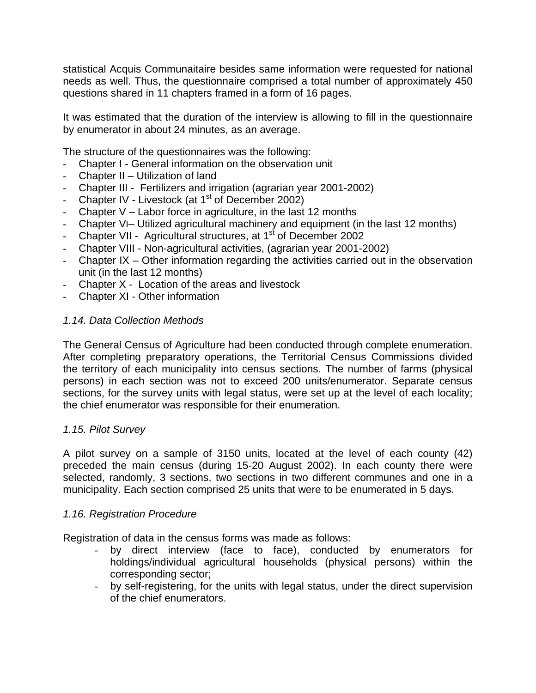statistical Acquis Communaitaire besides same information were requested for national needs as well. Thus, the questionnaire comprised a total number of approximately 450 questions shared in 11 chapters framed in a form of 16 pages.

It was estimated that the duration of the interview is allowing to fill in the questionnaire by enumerator in about 24 minutes, as an average.

The structure of the questionnaires was the following:

- Chapter I General information on the observation unit
- Chapter II Utilization of land
- Chapter III Fertilizers and irrigation (agrarian year 2001-2002)
- Chapter IV Livestock (at  $1<sup>st</sup>$  of December 2002)
- Chapter  $V -$  Labor force in agriculture, in the last 12 months
- Chapter VI– Utilized agricultural machinery and equipment (in the last 12 months)
- Chapter VII Agricultural structures, at 1<sup>st</sup> of December 2002
- Chapter VIII Non-agricultural activities, (agrarian year 2001-2002)
- Chapter IX Other information regarding the activities carried out in the observation unit (in the last 12 months)
- Chapter X Location of the areas and livestock
- Chapter XI Other information

## *1.14. Data Collection Methods*

The General Census of Agriculture had been conducted through complete enumeration. After completing preparatory operations, the Territorial Census Commissions divided the territory of each municipality into census sections. The number of farms (physical persons) in each section was not to exceed 200 units/enumerator. Separate census sections, for the survey units with legal status, were set up at the level of each locality; the chief enumerator was responsible for their enumeration.

### *1.15. Pilot Survey*

A pilot survey on a sample of 3150 units, located at the level of each county (42) preceded the main census (during 15-20 August 2002). In each county there were selected, randomly, 3 sections, two sections in two different communes and one in a municipality. Each section comprised 25 units that were to be enumerated in 5 days.

### *1.16. Registration Procedure*

Registration of data in the census forms was made as follows:

- by direct interview (face to face), conducted by enumerators for holdings/individual agricultural households (physical persons) within the corresponding sector;
- by self-registering, for the units with legal status, under the direct supervision of the chief enumerators.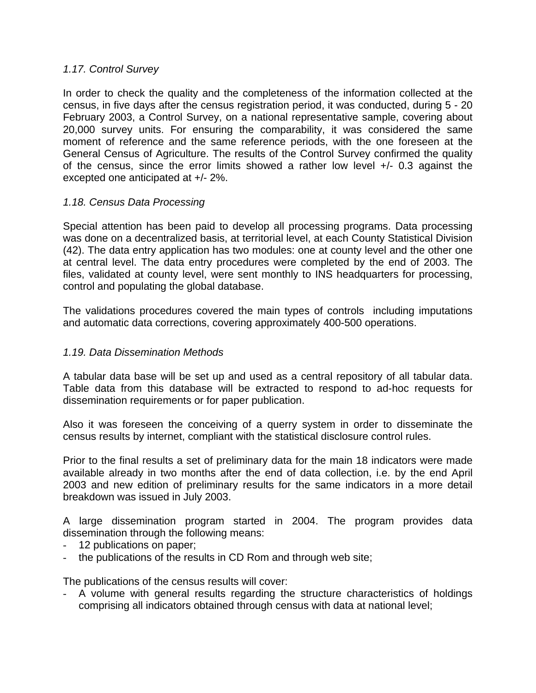## *1.17. Control Survey*

In order to check the quality and the completeness of the information collected at the census, in five days after the census registration period, it was conducted, during 5 - 20 February 2003, a Control Survey, on a national representative sample, covering about 20,000 survey units. For ensuring the comparability, it was considered the same moment of reference and the same reference periods, with the one foreseen at the General Census of Agriculture. The results of the Control Survey confirmed the quality of the census, since the error limits showed a rather low level +/- 0.3 against the excepted one anticipated at +/- 2%.

## *1.18. Census Data Processing*

Special attention has been paid to develop all processing programs. Data processing was done on a decentralized basis, at territorial level, at each County Statistical Division (42). The data entry application has two modules: one at county level and the other one at central level. The data entry procedures were completed by the end of 2003. The files, validated at county level, were sent monthly to INS headquarters for processing, control and populating the global database.

The validations procedures covered the main types of controls including imputations and automatic data corrections, covering approximately 400-500 operations.

## *1.19. Data Dissemination Methods*

A tabular data base will be set up and used as a central repository of all tabular data. Table data from this database will be extracted to respond to ad-hoc requests for dissemination requirements or for paper publication.

Also it was foreseen the conceiving of a querry system in order to disseminate the census results by internet, compliant with the statistical disclosure control rules.

Prior to the final results a set of preliminary data for the main 18 indicators were made available already in two months after the end of data collection, i.e. by the end April 2003 and new edition of preliminary results for the same indicators in a more detail breakdown was issued in July 2003.

A large dissemination program started in 2004. The program provides data dissemination through the following means:

- 12 publications on paper;
- the publications of the results in CD Rom and through web site;

The publications of the census results will cover:

- A volume with general results regarding the structure characteristics of holdings comprising all indicators obtained through census with data at national level;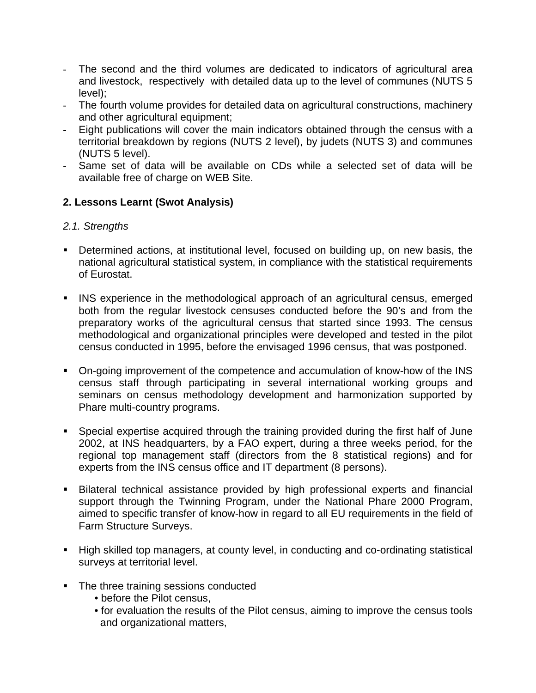- The second and the third volumes are dedicated to indicators of agricultural area and livestock, respectively with detailed data up to the level of communes (NUTS 5 level);
- The fourth volume provides for detailed data on agricultural constructions, machinery and other agricultural equipment;
- Eight publications will cover the main indicators obtained through the census with a territorial breakdown by regions (NUTS 2 level), by judets (NUTS 3) and communes (NUTS 5 level).
- Same set of data will be available on CDs while a selected set of data will be available free of charge on WEB Site.

# **2. Lessons Learnt (Swot Analysis)**

## *2.1. Strengths*

- Determined actions, at institutional level, focused on building up, on new basis, the national agricultural statistical system, in compliance with the statistical requirements of Eurostat.
- **INS** experience in the methodological approach of an agricultural census, emerged both from the regular livestock censuses conducted before the 90's and from the preparatory works of the agricultural census that started since 1993. The census methodological and organizational principles were developed and tested in the pilot census conducted in 1995, before the envisaged 1996 census, that was postponed.
- On-going improvement of the competence and accumulation of know-how of the INS census staff through participating in several international working groups and seminars on census methodology development and harmonization supported by Phare multi-country programs.
- Special expertise acquired through the training provided during the first half of June 2002, at INS headquarters, by a FAO expert, during a three weeks period, for the regional top management staff (directors from the 8 statistical regions) and for experts from the INS census office and IT department (8 persons).
- Bilateral technical assistance provided by high professional experts and financial support through the Twinning Program, under the National Phare 2000 Program, aimed to specific transfer of know-how in regard to all EU requirements in the field of Farm Structure Surveys.
- High skilled top managers, at county level, in conducting and co-ordinating statistical surveys at territorial level.
- The three training sessions conducted
	- before the Pilot census,
	- for evaluation the results of the Pilot census, aiming to improve the census tools and organizational matters,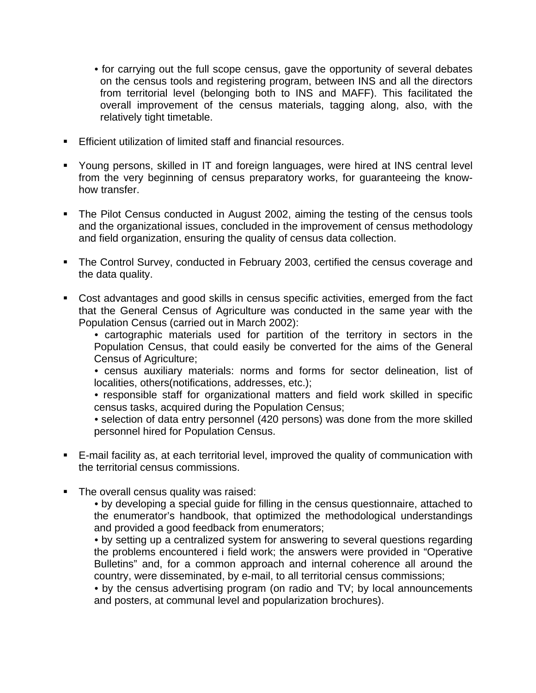- for carrying out the full scope census, gave the opportunity of several debates on the census tools and registering program, between INS and all the directors from territorial level (belonging both to INS and MAFF). This facilitated the overall improvement of the census materials, tagging along, also, with the relatively tight timetable.
- **Efficient utilization of limited staff and financial resources.**
- Young persons, skilled in IT and foreign languages, were hired at INS central level from the very beginning of census preparatory works, for guaranteeing the knowhow transfer.
- The Pilot Census conducted in August 2002, aiming the testing of the census tools and the organizational issues, concluded in the improvement of census methodology and field organization, ensuring the quality of census data collection.
- The Control Survey, conducted in February 2003, certified the census coverage and the data quality.
- Cost advantages and good skills in census specific activities, emerged from the fact that the General Census of Agriculture was conducted in the same year with the Population Census (carried out in March 2002):
	- cartographic materials used for partition of the territory in sectors in the Population Census, that could easily be converted for the aims of the General Census of Agriculture;
	- census auxiliary materials: norms and forms for sector delineation, list of localities, others(notifications, addresses, etc.);
	- responsible staff for organizational matters and field work skilled in specific census tasks, acquired during the Population Census;
	- selection of data entry personnel (420 persons) was done from the more skilled personnel hired for Population Census.
- E-mail facility as, at each territorial level, improved the quality of communication with the territorial census commissions.
- The overall census quality was raised:
	- by developing a special guide for filling in the census questionnaire, attached to the enumerator's handbook, that optimized the methodological understandings and provided a good feedback from enumerators;
	- by setting up a centralized system for answering to several questions regarding the problems encountered i field work; the answers were provided in "Operative Bulletins" and, for a common approach and internal coherence all around the country, were disseminated, by e-mail, to all territorial census commissions;
	- by the census advertising program (on radio and TV; by local announcements and posters, at communal level and popularization brochures).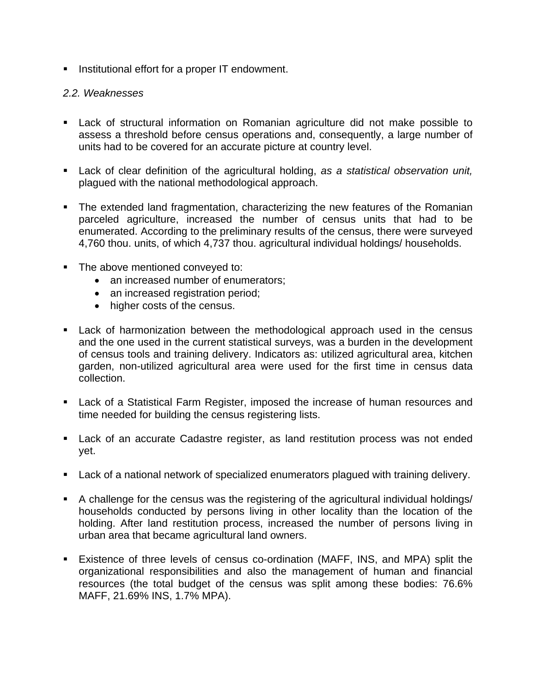**Institutional effort for a proper IT endowment.** 

## *2.2. Weaknesses*

- Lack of structural information on Romanian agriculture did not make possible to assess a threshold before census operations and, consequently, a large number of units had to be covered for an accurate picture at country level.
- Lack of clear definition of the agricultural holding, *as a statistical observation unit,*  plagued with the national methodological approach.
- The extended land fragmentation, characterizing the new features of the Romanian parceled agriculture, increased the number of census units that had to be enumerated. According to the preliminary results of the census, there were surveyed 4,760 thou. units, of which 4,737 thou. agricultural individual holdings/ households.
- The above mentioned conveyed to:
	- an increased number of enumerators;
	- an increased registration period;
	- higher costs of the census.
- Lack of harmonization between the methodological approach used in the census and the one used in the current statistical surveys, was a burden in the development of census tools and training delivery. Indicators as: utilized agricultural area, kitchen garden, non-utilized agricultural area were used for the first time in census data collection.
- Lack of a Statistical Farm Register, imposed the increase of human resources and time needed for building the census registering lists.
- Lack of an accurate Cadastre register, as land restitution process was not ended yet.
- Lack of a national network of specialized enumerators plagued with training delivery.
- A challenge for the census was the registering of the agricultural individual holdings/ households conducted by persons living in other locality than the location of the holding. After land restitution process, increased the number of persons living in urban area that became agricultural land owners.
- Existence of three levels of census co-ordination (MAFF, INS, and MPA) split the organizational responsibilities and also the management of human and financial resources (the total budget of the census was split among these bodies: 76.6% MAFF, 21.69% INS, 1.7% MPA).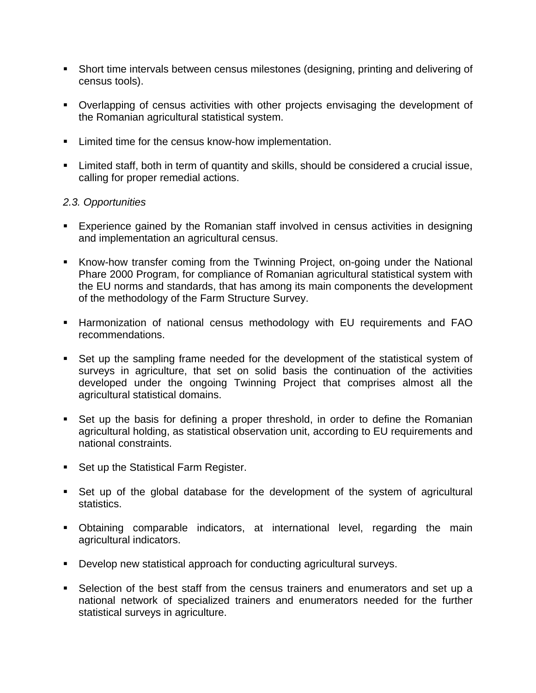- Short time intervals between census milestones (designing, printing and delivering of census tools).
- Overlapping of census activities with other projects envisaging the development of the Romanian agricultural statistical system.
- **EXECUTE:** Limited time for the census know-how implementation.
- Limited staff, both in term of quantity and skills, should be considered a crucial issue, calling for proper remedial actions.

## *2.3. Opportunities*

- Experience gained by the Romanian staff involved in census activities in designing and implementation an agricultural census.
- Know-how transfer coming from the Twinning Project, on-going under the National Phare 2000 Program, for compliance of Romanian agricultural statistical system with the EU norms and standards, that has among its main components the development of the methodology of the Farm Structure Survey.
- Harmonization of national census methodology with EU requirements and FAO recommendations.
- Set up the sampling frame needed for the development of the statistical system of surveys in agriculture, that set on solid basis the continuation of the activities developed under the ongoing Twinning Project that comprises almost all the agricultural statistical domains.
- Set up the basis for defining a proper threshold, in order to define the Romanian agricultural holding, as statistical observation unit, according to EU requirements and national constraints.
- Set up the Statistical Farm Register.
- Set up of the global database for the development of the system of agricultural statistics.
- Obtaining comparable indicators, at international level, regarding the main agricultural indicators.
- **Develop new statistical approach for conducting agricultural surveys.**
- Selection of the best staff from the census trainers and enumerators and set up a national network of specialized trainers and enumerators needed for the further statistical surveys in agriculture.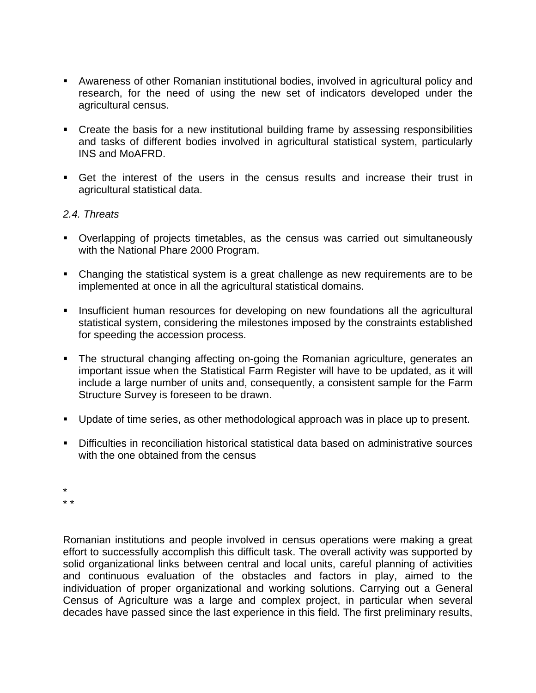- Awareness of other Romanian institutional bodies, involved in agricultural policy and research, for the need of using the new set of indicators developed under the agricultural census.
- Create the basis for a new institutional building frame by assessing responsibilities and tasks of different bodies involved in agricultural statistical system, particularly INS and MoAFRD.
- Get the interest of the users in the census results and increase their trust in agricultural statistical data.

### *2.4. Threats*

- Overlapping of projects timetables, as the census was carried out simultaneously with the National Phare 2000 Program.
- Changing the statistical system is a great challenge as new requirements are to be implemented at once in all the agricultural statistical domains.
- **Insufficient human resources for developing on new foundations all the agricultural** statistical system, considering the milestones imposed by the constraints established for speeding the accession process.
- The structural changing affecting on-going the Romanian agriculture, generates an important issue when the Statistical Farm Register will have to be updated, as it will include a large number of units and, consequently, a consistent sample for the Farm Structure Survey is foreseen to be drawn.
- Update of time series, as other methodological approach was in place up to present.
- Difficulties in reconciliation historical statistical data based on administrative sources with the one obtained from the census
- \*

\* \*

Romanian institutions and people involved in census operations were making a great effort to successfully accomplish this difficult task. The overall activity was supported by solid organizational links between central and local units, careful planning of activities and continuous evaluation of the obstacles and factors in play, aimed to the individuation of proper organizational and working solutions. Carrying out a General Census of Agriculture was a large and complex project, in particular when several decades have passed since the last experience in this field. The first preliminary results,